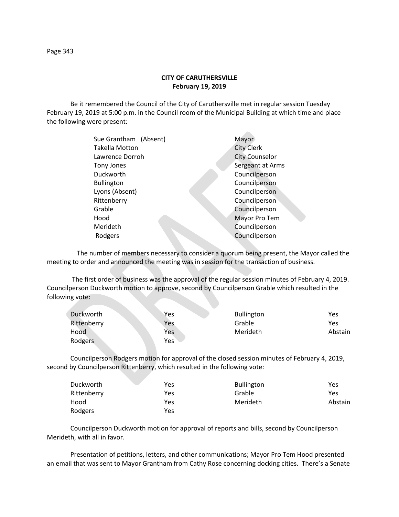Be it remembered the Council of the City of Caruthersville met in regular session Tuesday February 19, 2019 at 5:00 p.m. in the Council room of the Municipal Building at which time and place the following were present:

| Sue Grantham (Absent) | Mayor                 |
|-----------------------|-----------------------|
| <b>Takella Motton</b> | <b>City Clerk</b>     |
| Lawrence Dorroh       | <b>City Counselor</b> |
| Tony Jones            | Sergeant at Arms      |
| Duckworth             | Councilperson         |
| <b>Bullington</b>     | Councilperson         |
| Lyons (Absent)        | Councilperson         |
| Rittenberry           | Councilperson         |
| Grable                | Councilperson         |
| Hood                  | Mayor Pro Tem         |
| Merideth              | Councilperson         |
| Rodgers               | Councilperson         |
|                       |                       |

 The number of members necessary to consider a quorum being present, the Mayor called the meeting to order and announced the meeting was in session for the transaction of business.

The first order of business was the approval of the regular session minutes of February 4, 2019. Councilperson Duckworth motion to approve, second by Councilperson Grable which resulted in the following vote:

| Duckworth   | Yes | <b>Bullington</b> | Yes     |
|-------------|-----|-------------------|---------|
| Rittenberry | Yes | Grable            | Yes     |
| Hood        | Yes | Merideth          | Abstain |
| Rodgers     | Yes |                   |         |

Councilperson Rodgers motion for approval of the closed session minutes of February 4, 2019, second by Councilperson Rittenberry, which resulted in the following vote:

| Duckworth   | Yes | <b>Bullington</b> | Yes     |
|-------------|-----|-------------------|---------|
| Rittenberry | Yes | Grable            | Yes     |
| Hood        | Yes | Merideth          | Abstain |
| Rodgers     | Yes |                   |         |

Councilperson Duckworth motion for approval of reports and bills, second by Councilperson Merideth, with all in favor.

Presentation of petitions, letters, and other communications; Mayor Pro Tem Hood presented an email that was sent to Mayor Grantham from Cathy Rose concerning docking cities. There's a Senate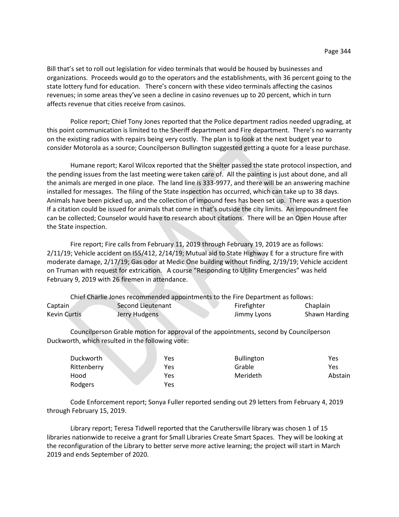Bill that's set to roll out legislation for video terminals that would be housed by businesses and organizations. Proceeds would go to the operators and the establishments, with 36 percent going to the state lottery fund for education. There's concern with these video terminals affecting the casinos revenues; in some areas they've seen a decline in casino revenues up to 20 percent, which in turn affects revenue that cities receive from casinos.

Police report; Chief Tony Jones reported that the Police department radios needed upgrading, at this point communication is limited to the Sheriff department and Fire department. There's no warranty on the existing radios with repairs being very costly. The plan is to look at the next budget year to consider Motorola as a source; Councilperson Bullington suggested getting a quote for a lease purchase.

Humane report; Karol Wilcox reported that the Shelter passed the state protocol inspection, and the pending issues from the last meeting were taken care of. All the painting is just about done, and all the animals are merged in one place. The land line is 333-9977, and there will be an answering machine installed for messages. The filing of the State inspection has occurred, which can take up to 38 days. Animals have been picked up, and the collection of impound fees has been set up. There was a question If a citation could be issued for animals that come in that's outside the city limits. An impoundment fee can be collected; Counselor would have to research about citations. There will be an Open House after the State inspection.

Fire report; Fire calls from February 11, 2019 through February 19, 2019 are as follows: 2/11/19; Vehicle accident on I55/412, 2/14/19; Mutual aid to State Highway E for a structure fire with moderate damage, 2/17/19; Gas odor at Medic One building without finding, 2/19/19; Vehicle accident on Truman with request for extrication. A course "Responding to Utility Emergencies" was held February 9, 2019 with 26 firemen in attendance.

| Chief Charlie Jones recommended appointments to the Fire Department as follows: |                   |             |                      |
|---------------------------------------------------------------------------------|-------------------|-------------|----------------------|
| Captain                                                                         | Second Lieutenant | Firefighter | Chaplain             |
| Kevin Curtis                                                                    | Jerry Hudgens     | Jimmy Lyons | <b>Shawn Harding</b> |

Councilperson Grable motion for approval of the appointments, second by Councilperson Duckworth, which resulted in the following vote:

| Duckworth   | Yes | <b>Bullington</b> | Yes     |
|-------------|-----|-------------------|---------|
| Rittenberry | Yes | Grable            | Yes     |
| Hood        | Yes | Merideth          | Abstain |
| Rodgers     | Yes |                   |         |

Code Enforcement report; Sonya Fuller reported sending out 29 letters from February 4, 2019 through February 15, 2019.

Library report; Teresa Tidwell reported that the Caruthersville library was chosen 1 of 15 libraries nationwide to receive a grant for Small Libraries Create Smart Spaces. They will be looking at the reconfiguration of the Library to better serve more active learning; the project will start in March 2019 and ends September of 2020.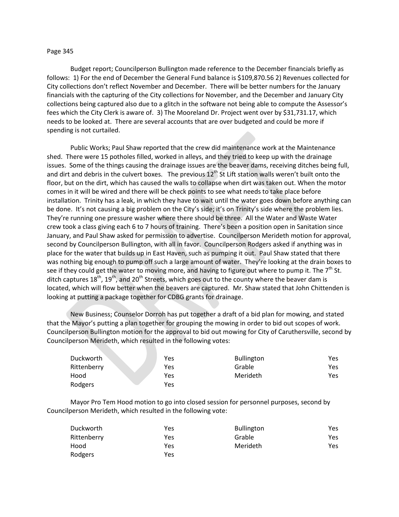## Page 345

Budget report; Councilperson Bullington made reference to the December financials briefly as follows: 1) For the end of December the General Fund balance is \$109,870.56 2) Revenues collected for City collections don't reflect November and December. There will be better numbers for the January financials with the capturing of the City collections for November, and the December and January City collections being captured also due to a glitch in the software not being able to compute the Assessor's fees which the City Clerk is aware of. 3) The Mooreland Dr. Project went over by \$31,731.17, which needs to be looked at. There are several accounts that are over budgeted and could be more if spending is not curtailed.

Public Works; Paul Shaw reported that the crew did maintenance work at the Maintenance shed. There were 15 potholes filled, worked in alleys, and they tried to keep up with the drainage issues. Some of the things causing the drainage issues are the beaver dams, receiving ditches being full, and dirt and debris in the culvert boxes. The previous  $12<sup>th</sup>$  St Lift station walls weren't built onto the floor, but on the dirt, which has caused the walls to collapse when dirt was taken out. When the motor comes in it will be wired and there will be check points to see what needs to take place before installation. Trinity has a leak, in which they have to wait until the water goes down before anything can be done. It's not causing a big problem on the City's side; it's on Trinity's side where the problem lies. They're running one pressure washer where there should be three. All the Water and Waste Water crew took a class giving each 6 to 7 hours of training. There's been a position open in Sanitation since January, and Paul Shaw asked for permission to advertise. Councilperson Merideth motion for approval, second by Councilperson Bullington, with all in favor. Councilperson Rodgers asked if anything was in place for the water that builds up in East Haven, such as pumping it out. Paul Shaw stated that there was nothing big enough to pump off such a large amount of water. They're looking at the drain boxes to see if they could get the water to moving more, and having to figure out where to pump it. The  $7<sup>th</sup>$  St. ditch captures  $18^{th}$ ,  $19^{th}$ , and  $20^{th}$  Streets, which goes out to the county where the beaver dam is located, which will flow better when the beavers are captured. Mr. Shaw stated that John Chittenden is looking at putting a package together for CDBG grants for drainage.

New Business; Counselor Dorroh has put together a draft of a bid plan for mowing, and stated that the Mayor's putting a plan together for grouping the mowing in order to bid out scopes of work. Councilperson Bullington motion for the approval to bid out mowing for City of Caruthersville, second by Councilperson Merideth, which resulted in the following votes:

| Duckworth   | Yes | <b>Bullington</b> | Yes |
|-------------|-----|-------------------|-----|
| Rittenberry | Yes | Grable            | Yes |
| Hood        | Yes | Merideth          | Yes |
| Rodgers     | Yes |                   |     |

Mayor Pro Tem Hood motion to go into closed session for personnel purposes, second by Councilperson Merideth, which resulted in the following vote:

| Duckworth   | Yes | <b>Bullington</b> | Yes. |
|-------------|-----|-------------------|------|
| Rittenberry | Yes | Grable            | Yes. |
| Hood        | Yes | Merideth          | Yes. |
| Rodgers     | Yes |                   |      |